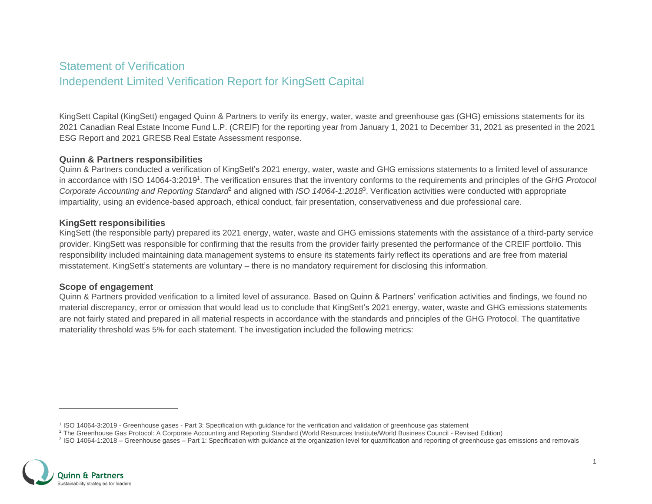# Statement of Verification Independent Limited Verification Report for KingSett Capital

KingSett Capital (KingSett) engaged Quinn & Partners to verify its energy, water, waste and greenhouse gas (GHG) emissions statements for its 2021 Canadian Real Estate Income Fund L.P. (CREIF) for the reporting year from January 1, 2021 to December 31, 2021 as presented in the 2021 ESG Report and 2021 GRESB Real Estate Assessment response.

### **Quinn & Partners responsibilities**

Quinn & Partners conducted a verification of KingSett's 2021 energy, water, waste and GHG emissions statements to a limited level of assurance in accordance with ISO 14064-3:2019<sup>1</sup>. The verification ensures that the inventory conforms to the requirements and principles of the GHG Protocol *Corporate Accounting and Reporting Standard*<sup>2</sup> and aligned with *ISO 14064-1:2018*<sup>3</sup> . Verification activities were conducted with appropriate impartiality, using an evidence-based approach, ethical conduct, fair presentation, conservativeness and due professional care.

### **KingSett responsibilities**

KingSett (the responsible party) prepared its 2021 energy, water, waste and GHG emissions statements with the assistance of a third-party service provider. KingSett was responsible for confirming that the results from the provider fairly presented the performance of the CREIF portfolio. This responsibility included maintaining data management systems to ensure its statements fairly reflect its operations and are free from material misstatement. KingSett's statements are voluntary – there is no mandatory requirement for disclosing this information.

### **Scope of engagement**

Quinn & Partners provided verification to a limited level of assurance. Based on Quinn & Partners' verification activities and findings, we found no material discrepancy, error or omission that would lead us to conclude that KingSett's 2021 energy, water, waste and GHG emissions statements are not fairly stated and prepared in all material respects in accordance with the standards and principles of the GHG Protocol. The quantitative materiality threshold was 5% for each statement. The investigation included the following metrics:

<sup>&</sup>lt;sup>3</sup> ISO 14064-1:2018 – Greenhouse gases – Part 1: Specification with guidance at the organization level for quantification and reporting of greenhouse gas emissions and removals



<sup>&</sup>lt;sup>1</sup> ISO 14064-3:2019 - Greenhouse gases - Part 3: Specification with guidance for the verification and validation of greenhouse gas statement

<sup>&</sup>lt;sup>2</sup> The Greenhouse Gas Protocol: A Corporate Accounting and Reporting Standard (World Resources Institute/World Business Council - Revised Edition)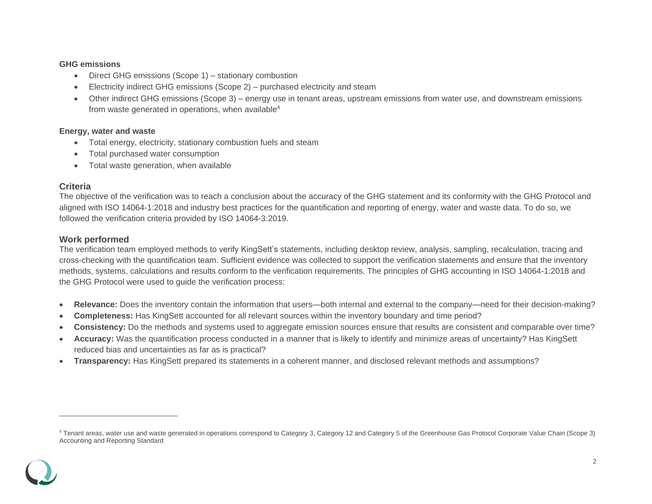### **GHG emissions**

- Direct GHG emissions (Scope 1) stationary combustion
- Electricity indirect GHG emissions (Scope 2) purchased electricity and steam
- Other indirect GHG emissions (Scope 3) energy use in tenant areas, upstream emissions from water use, and downstream emissions from waste generated in operations, when available $4$

### **Energy, water and waste**

- Total energy, electricity, stationary combustion fuels and steam
- Total purchased water consumption
- Total waste generation, when available

# **Criteria**

The objective of the verification was to reach a conclusion about the accuracy of the GHG statement and its conformity with the GHG Protocol and aligned with ISO 14064-1:2018 and industry best practices for the quantification and reporting of energy, water and waste data. To do so, we followed the verification criteria provided by ISO 14064-3:2019.

# **Work performed**

The verification team employed methods to verify KingSett's statements, including desktop review, analysis, sampling, recalculation, tracing and cross-checking with the quantification team. Sufficient evidence was collected to support the verification statements and ensure that the inventory methods, systems, calculations and results conform to the verification requirements. The principles of GHG accounting in ISO 14064-1:2018 and the GHG Protocol were used to guide the verification process:

- **Relevance:** Does the inventory contain the information that users—both internal and external to the company—need for their decision-making?
- **Completeness:** Has KingSett accounted for all relevant sources within the inventory boundary and time period?
- **Consistency:** Do the methods and systems used to aggregate emission sources ensure that results are consistent and comparable over time?
- **Accuracy:** Was the quantification process conducted in a manner that is likely to identify and minimize areas of uncertainty? Has KingSett reduced bias and uncertainties as far as is practical?
- **Transparency:** Has KingSett prepared its statements in a coherent manner, and disclosed relevant methods and assumptions?

<sup>4</sup> Tenant areas, water use and waste generated in operations correspond to Category 3, Category 12 and Category 5 of the Greenhouse Gas Protocol Corporate Value Chain (Scope 3) Accounting and Reporting Standard